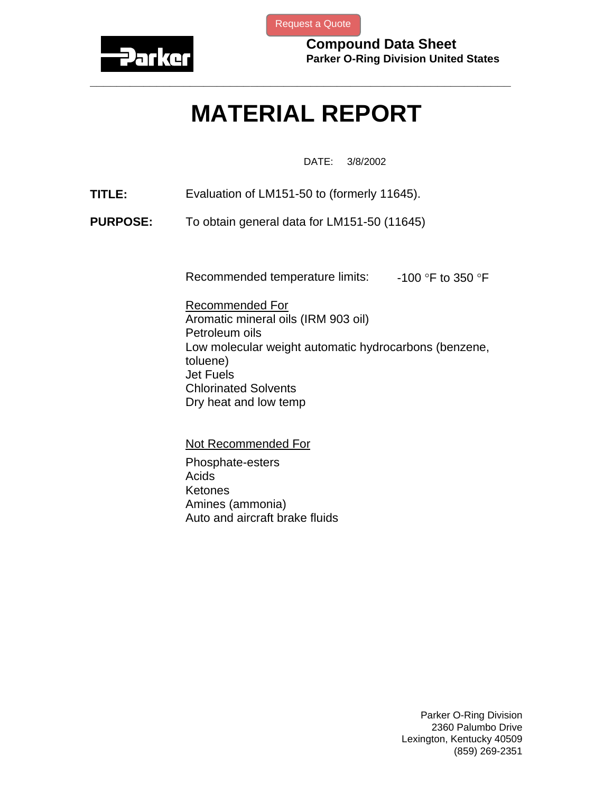

[Request a Quote](http://www.marcorubber.com/contact_quote.htm?material=Parker+LM151-50)

**Compound Data Sheet Parker O-Ring Division United States** 

## **MATERIAL REPORT**

**\_\_\_\_\_\_\_\_\_\_\_\_\_\_\_\_\_\_\_\_\_\_\_\_\_\_\_\_\_\_\_\_\_\_\_\_\_\_\_\_\_\_\_\_\_\_\_\_\_\_\_\_\_\_\_\_\_\_\_\_\_\_\_** 

DATE: 3/8/2002

- **TITLE:** Evaluation of LM151-50 to (formerly 11645).
- **PURPOSE:** To obtain general data for LM151-50 (11645)

Recommended temperature limits:  $-100$  °F to 350 °F

Recommended For Aromatic mineral oils (IRM 903 oil) Petroleum oils Low molecular weight automatic hydrocarbons (benzene, toluene) Jet Fuels Chlorinated Solvents Dry heat and low temp

Not Recommended For

Phosphate-esters **Acids** Ketones Amines (ammonia) Auto and aircraft brake fluids

> Parker O-Ring Division 2360 Palumbo Drive Lexington, Kentucky 40509 (859) 269-2351